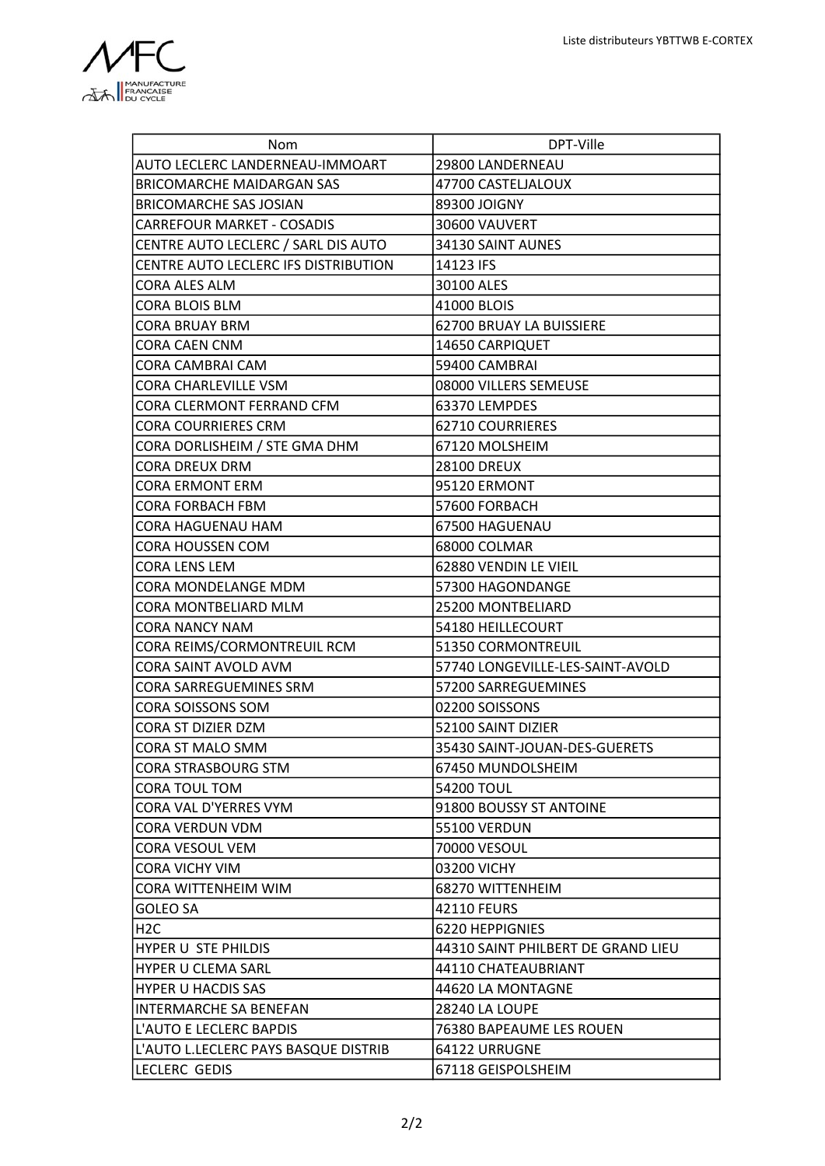

ł.

| Nom                                  | DPT-Ville                          |
|--------------------------------------|------------------------------------|
| AUTO LECLERC LANDERNEAU-IMMOART      | 29800 LANDERNEAU                   |
| <b>BRICOMARCHE MAIDARGAN SAS</b>     | 47700 CASTELJALOUX                 |
| BRICOMARCHE SAS JOSIAN               | 89300 JOIGNY                       |
| <b>CARREFOUR MARKET - COSADIS</b>    | 30600 VAUVERT                      |
| CENTRE AUTO LECLERC / SARL DIS AUTO  | 34130 SAINT AUNES                  |
| CENTRE AUTO LECLERC IFS DISTRIBUTION | 14123 IFS                          |
| <b>CORA ALES ALM</b>                 | 30100 ALES                         |
| CORA BLOIS BLM                       | 41000 BLOIS                        |
| <b>CORA BRUAY BRM</b>                | 62700 BRUAY LA BUISSIERE           |
| CORA CAEN CNM                        | 14650 CARPIQUET                    |
| CORA CAMBRAI CAM                     | 59400 CAMBRAI                      |
| <b>CORA CHARLEVILLE VSM</b>          | 08000 VILLERS SEMEUSE              |
| CORA CLERMONT FERRAND CFM            | 63370 LEMPDES                      |
| <b>CORA COURRIERES CRM</b>           | 62710 COURRIERES                   |
| CORA DORLISHEIM / STE GMA DHM        | 67120 MOLSHEIM                     |
| <b>CORA DREUX DRM</b>                | <b>28100 DREUX</b>                 |
| <b>CORA ERMONT ERM</b>               | 95120 ERMONT                       |
| CORA FORBACH FBM                     | 57600 FORBACH                      |
| CORA HAGUENAU HAM                    | 67500 HAGUENAU                     |
| CORA HOUSSEN COM                     | 68000 COLMAR                       |
| <b>CORA LENS LEM</b>                 | 62880 VENDIN LE VIEIL              |
| CORA MONDELANGE MDM                  | 57300 HAGONDANGE                   |
| CORA MONTBELIARD MLM                 | 25200 MONTBELIARD                  |
| <b>CORA NANCY NAM</b>                | 54180 HEILLECOURT                  |
| CORA REIMS/CORMONTREUIL RCM          | 51350 CORMONTREUIL                 |
| CORA SAINT AVOLD AVM                 | 57740 LONGEVILLE-LES-SAINT-AVOLD   |
| CORA SARREGUEMINES SRM               | 57200 SARREGUEMINES                |
| CORA SOISSONS SOM                    | 02200 SOISSONS                     |
| CORA ST DIZIER DZM                   | 52100 SAINT DIZIER                 |
| <b>CORA ST MALO SMM</b>              | 35430 SAINT-JOUAN-DES-GUERETS      |
| <b>CORA STRASBOURG STM</b>           | 67450 MUNDOLSHEIM                  |
| CORA TOUL TOM                        | 54200 TOUL                         |
| CORA VAL D'YERRES VYM                | 91800 BOUSSY ST ANTOINE            |
| CORA VERDUN VDM                      | <b>55100 VERDUN</b>                |
| CORA VESOUL VEM                      | 70000 VESOUL                       |
| <b>CORA VICHY VIM</b>                | 03200 VICHY                        |
| CORA WITTENHEIM WIM                  | 68270 WITTENHEIM                   |
| <b>GOLEO SA</b>                      | 42110 FEURS                        |
| H <sub>2</sub> C                     | 6220 HEPPIGNIES                    |
| HYPER U STE PHILDIS                  | 44310 SAINT PHILBERT DE GRAND LIEU |
| <b>HYPER U CLEMA SARL</b>            | 44110 CHATEAUBRIANT                |
| <b>HYPER U HACDIS SAS</b>            | 44620 LA MONTAGNE                  |
| <b>INTERMARCHE SA BENEFAN</b>        | <b>28240 LA LOUPE</b>              |
| L'AUTO E LECLERC BAPDIS              | 76380 BAPEAUME LES ROUEN           |
| L'AUTO L.LECLERC PAYS BASQUE DISTRIB | 64122 URRUGNE                      |
| <b>LECLERC GEDIS</b>                 | 67118 GEISPOLSHEIM                 |